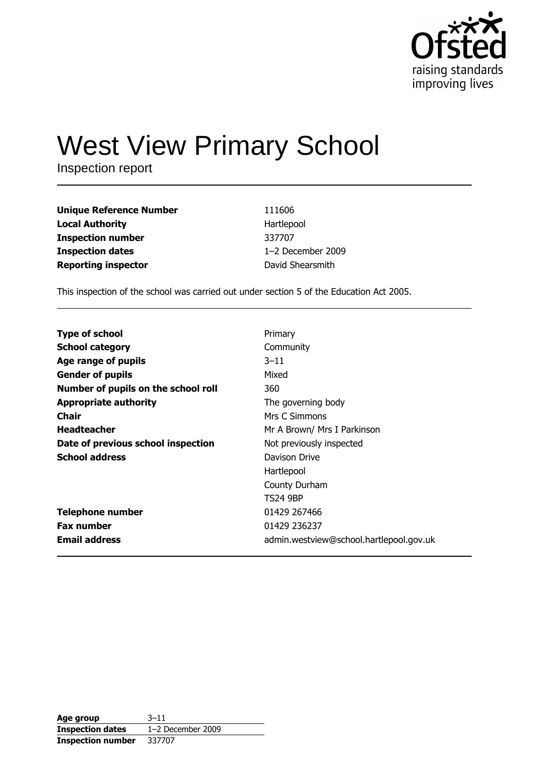

# **West View Primary School**

Inspection report

| <b>Unique Reference Number</b> | 111606            |
|--------------------------------|-------------------|
| <b>Local Authority</b>         | Hartlepool        |
| <b>Inspection number</b>       | 337707            |
| <b>Inspection dates</b>        | 1-2 December 2009 |
| <b>Reporting inspector</b>     | David Shearsmith  |

This inspection of the school was carried out under section 5 of the Education Act 2005.

| <b>Type of school</b>               | Primary                                 |
|-------------------------------------|-----------------------------------------|
| <b>School category</b>              | Community                               |
| Age range of pupils                 | $3 - 11$                                |
| <b>Gender of pupils</b>             | Mixed                                   |
| Number of pupils on the school roll | 360                                     |
| <b>Appropriate authority</b>        | The governing body                      |
| Chair                               | Mrs C Simmons                           |
| <b>Headteacher</b>                  | Mr A Brown/ Mrs I Parkinson             |
| Date of previous school inspection  | Not previously inspected                |
| <b>School address</b>               | Davison Drive                           |
|                                     | Hartlepool                              |
|                                     | County Durham                           |
|                                     | <b>TS24 9BP</b>                         |
| <b>Telephone number</b>             | 01429 267466                            |
| <b>Fax number</b>                   | 01429 236237                            |
| <b>Email address</b>                | admin.westview@school.hartlepool.gov.uk |

| Age group                | $3 - 11$            |
|--------------------------|---------------------|
| <b>Inspection dates</b>  | $1-2$ December 2009 |
| <b>Inspection number</b> | 337707              |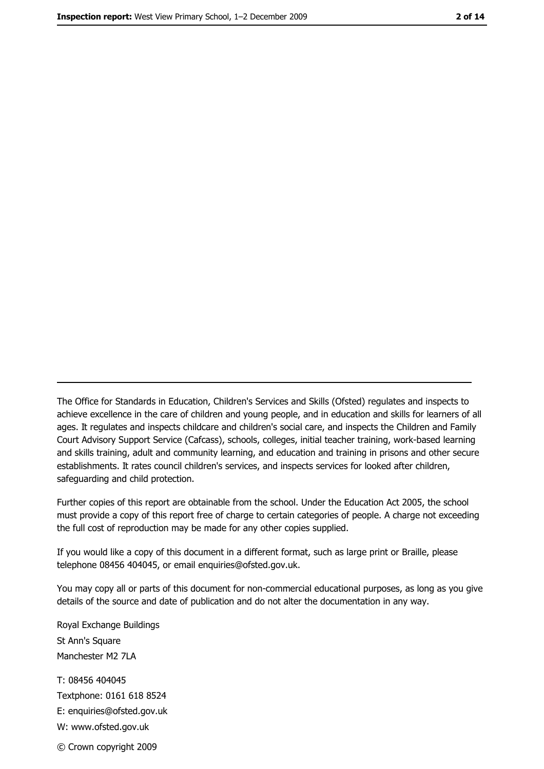The Office for Standards in Education, Children's Services and Skills (Ofsted) regulates and inspects to achieve excellence in the care of children and young people, and in education and skills for learners of all ages. It regulates and inspects childcare and children's social care, and inspects the Children and Family Court Advisory Support Service (Cafcass), schools, colleges, initial teacher training, work-based learning and skills training, adult and community learning, and education and training in prisons and other secure establishments. It rates council children's services, and inspects services for looked after children, safequarding and child protection.

Further copies of this report are obtainable from the school. Under the Education Act 2005, the school must provide a copy of this report free of charge to certain categories of people. A charge not exceeding the full cost of reproduction may be made for any other copies supplied.

If you would like a copy of this document in a different format, such as large print or Braille, please telephone 08456 404045, or email enquiries@ofsted.gov.uk.

You may copy all or parts of this document for non-commercial educational purposes, as long as you give details of the source and date of publication and do not alter the documentation in any way.

Royal Exchange Buildings St Ann's Square Manchester M2 7LA T: 08456 404045 Textphone: 0161 618 8524 E: enquiries@ofsted.gov.uk W: www.ofsted.gov.uk © Crown copyright 2009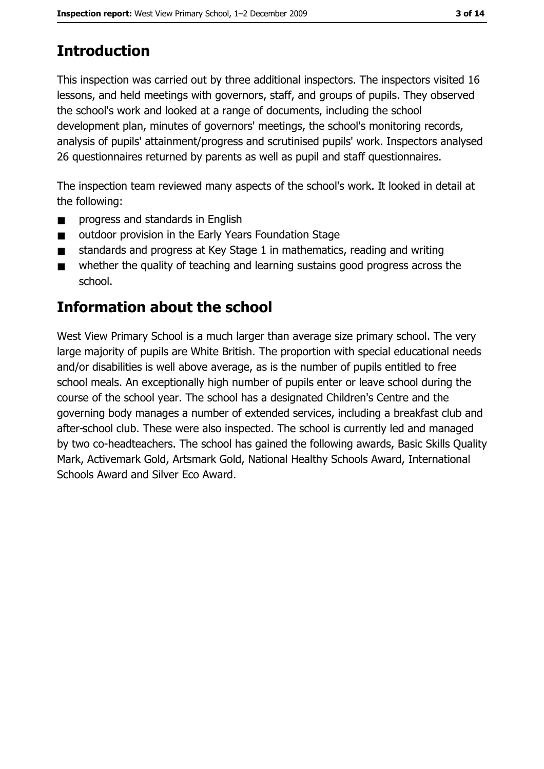# **Introduction**

This inspection was carried out by three additional inspectors. The inspectors visited 16 lessons, and held meetings with governors, staff, and groups of pupils. They observed the school's work and looked at a range of documents, including the school development plan, minutes of governors' meetings, the school's monitoring records, analysis of pupils' attainment/progress and scrutinised pupils' work. Inspectors analysed 26 questionnaires returned by parents as well as pupil and staff questionnaires.

The inspection team reviewed many aspects of the school's work. It looked in detail at the following:

- progress and standards in English  $\blacksquare$
- outdoor provision in the Early Years Foundation Stage  $\blacksquare$
- standards and progress at Key Stage 1 in mathematics, reading and writing  $\blacksquare$
- whether the quality of teaching and learning sustains good progress across the  $\blacksquare$ school.

# **Information about the school**

West View Primary School is a much larger than average size primary school. The very large majority of pupils are White British. The proportion with special educational needs and/or disabilities is well above average, as is the number of pupils entitled to free school meals. An exceptionally high number of pupils enter or leave school during the course of the school year. The school has a designated Children's Centre and the governing body manages a number of extended services, including a breakfast club and after-school club. These were also inspected. The school is currently led and managed by two co-headteachers. The school has gained the following awards, Basic Skills Quality Mark, Activemark Gold, Artsmark Gold, National Healthy Schools Award, International Schools Award and Silver Eco Award.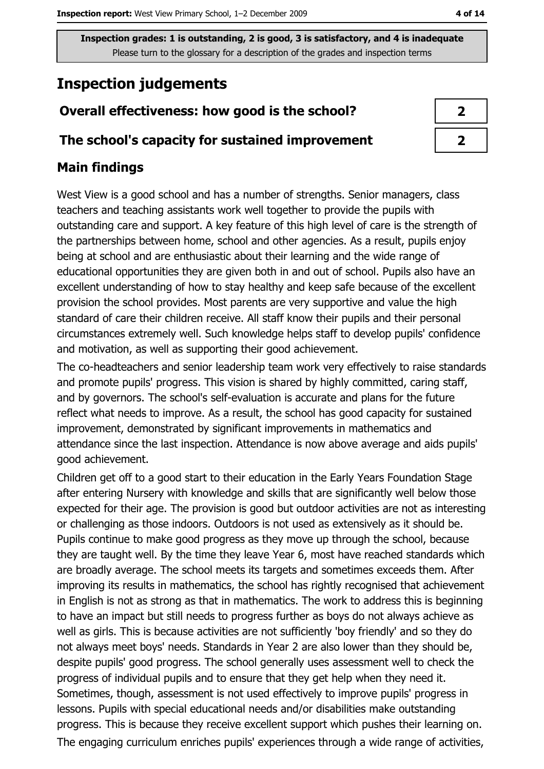# **Inspection judgements**

# Overall effectiveness: how good is the school?

## The school's capacity for sustained improvement

## **Main findings**

West View is a good school and has a number of strengths. Senior managers, class teachers and teaching assistants work well together to provide the pupils with outstanding care and support. A key feature of this high level of care is the strength of the partnerships between home, school and other agencies. As a result, pupils enjoy being at school and are enthusiastic about their learning and the wide range of educational opportunities they are given both in and out of school. Pupils also have an excellent understanding of how to stay healthy and keep safe because of the excellent provision the school provides. Most parents are very supportive and value the high standard of care their children receive. All staff know their pupils and their personal circumstances extremely well. Such knowledge helps staff to develop pupils' confidence and motivation, as well as supporting their good achievement.

The co-headteachers and senior leadership team work very effectively to raise standards and promote pupils' progress. This vision is shared by highly committed, caring staff, and by governors. The school's self-evaluation is accurate and plans for the future reflect what needs to improve. As a result, the school has good capacity for sustained improvement, demonstrated by significant improvements in mathematics and attendance since the last inspection. Attendance is now above average and aids pupils' good achievement.

Children get off to a good start to their education in the Early Years Foundation Stage after entering Nursery with knowledge and skills that are significantly well below those expected for their age. The provision is good but outdoor activities are not as interesting or challenging as those indoors. Outdoors is not used as extensively as it should be. Pupils continue to make good progress as they move up through the school, because they are taught well. By the time they leave Year 6, most have reached standards which are broadly average. The school meets its targets and sometimes exceeds them. After improving its results in mathematics, the school has rightly recognised that achievement in English is not as strong as that in mathematics. The work to address this is beginning to have an impact but still needs to progress further as boys do not always achieve as well as girls. This is because activities are not sufficiently 'boy friendly' and so they do not always meet boys' needs. Standards in Year 2 are also lower than they should be, despite pupils' good progress. The school generally uses assessment well to check the progress of individual pupils and to ensure that they get help when they need it. Sometimes, though, assessment is not used effectively to improve pupils' progress in lessons. Pupils with special educational needs and/or disabilities make outstanding progress. This is because they receive excellent support which pushes their learning on. The engaging curriculum enriches pupils' experiences through a wide range of activities,

| ↗ |  |
|---|--|
| 7 |  |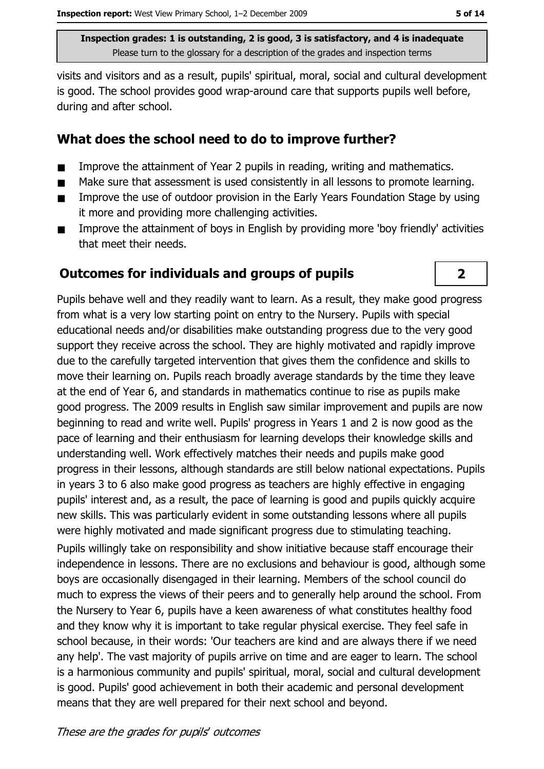visits and visitors and as a result, pupils' spiritual, moral, social and cultural development is good. The school provides good wrap-around care that supports pupils well before, during and after school.

## What does the school need to do to improve further?

- Improve the attainment of Year 2 pupils in reading, writing and mathematics.  $\blacksquare$
- Make sure that assessment is used consistently in all lessons to promote learning.  $\blacksquare$
- Improve the use of outdoor provision in the Early Years Foundation Stage by using  $\blacksquare$ it more and providing more challenging activities.
- Improve the attainment of boys in English by providing more 'boy friendly' activities  $\blacksquare$ that meet their needs.

## **Outcomes for individuals and groups of pupils**

Pupils behave well and they readily want to learn. As a result, they make good progress from what is a very low starting point on entry to the Nursery. Pupils with special educational needs and/or disabilities make outstanding progress due to the very good support they receive across the school. They are highly motivated and rapidly improve due to the carefully targeted intervention that gives them the confidence and skills to move their learning on. Pupils reach broadly average standards by the time they leave at the end of Year 6, and standards in mathematics continue to rise as pupils make good progress. The 2009 results in English saw similar improvement and pupils are now beginning to read and write well. Pupils' progress in Years 1 and 2 is now good as the pace of learning and their enthusiasm for learning develops their knowledge skills and understanding well. Work effectively matches their needs and pupils make good progress in their lessons, although standards are still below national expectations. Pupils in years 3 to 6 also make good progress as teachers are highly effective in engaging pupils' interest and, as a result, the pace of learning is good and pupils quickly acquire new skills. This was particularly evident in some outstanding lessons where all pupils were highly motivated and made significant progress due to stimulating teaching.

Pupils willingly take on responsibility and show initiative because staff encourage their independence in lessons. There are no exclusions and behaviour is good, although some boys are occasionally disengaged in their learning. Members of the school council do much to express the views of their peers and to generally help around the school. From the Nursery to Year 6, pupils have a keen awareness of what constitutes healthy food and they know why it is important to take regular physical exercise. They feel safe in school because, in their words: 'Our teachers are kind and are always there if we need any help'. The vast majority of pupils arrive on time and are eager to learn. The school is a harmonious community and pupils' spiritual, moral, social and cultural development is good. Pupils' good achievement in both their academic and personal development means that they are well prepared for their next school and beyond.

 $\overline{2}$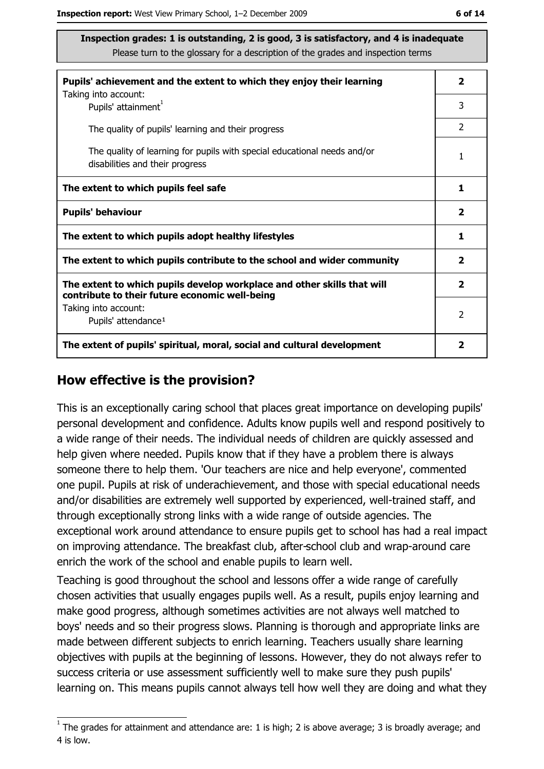| Pupils' achievement and the extent to which they enjoy their learning                                                     |                         |
|---------------------------------------------------------------------------------------------------------------------------|-------------------------|
| Taking into account:<br>Pupils' attainment <sup>1</sup>                                                                   | 3                       |
| The quality of pupils' learning and their progress                                                                        | $\mathcal{P}$           |
| The quality of learning for pupils with special educational needs and/or<br>disabilities and their progress               | 1                       |
| The extent to which pupils feel safe                                                                                      | 1                       |
| <b>Pupils' behaviour</b>                                                                                                  | $\overline{\mathbf{2}}$ |
| The extent to which pupils adopt healthy lifestyles                                                                       | 1                       |
| The extent to which pupils contribute to the school and wider community                                                   |                         |
| The extent to which pupils develop workplace and other skills that will<br>contribute to their future economic well-being | $\overline{\mathbf{2}}$ |
| Taking into account:<br>Pupils' attendance <sup>1</sup>                                                                   | $\mathcal{P}$           |
| The extent of pupils' spiritual, moral, social and cultural development                                                   | 2                       |

#### How effective is the provision?

This is an exceptionally caring school that places great importance on developing pupils' personal development and confidence. Adults know pupils well and respond positively to a wide range of their needs. The individual needs of children are quickly assessed and help given where needed. Pupils know that if they have a problem there is always someone there to help them. 'Our teachers are nice and help everyone', commented one pupil. Pupils at risk of underachievement, and those with special educational needs and/or disabilities are extremely well supported by experienced, well-trained staff, and through exceptionally strong links with a wide range of outside agencies. The exceptional work around attendance to ensure pupils get to school has had a real impact on improving attendance. The breakfast club, after-school club and wrap-around care enrich the work of the school and enable pupils to learn well.

Teaching is good throughout the school and lessons offer a wide range of carefully chosen activities that usually engages pupils well. As a result, pupils enjoy learning and make good progress, although sometimes activities are not always well matched to boys' needs and so their progress slows. Planning is thorough and appropriate links are made between different subjects to enrich learning. Teachers usually share learning objectives with pupils at the beginning of lessons. However, they do not always refer to success criteria or use assessment sufficiently well to make sure they push pupils' learning on. This means pupils cannot always tell how well they are doing and what they

 $\overline{1}$  The grades for attainment and attendance are: 1 is high; 2 is above average; 3 is broadly average; and 4 is low.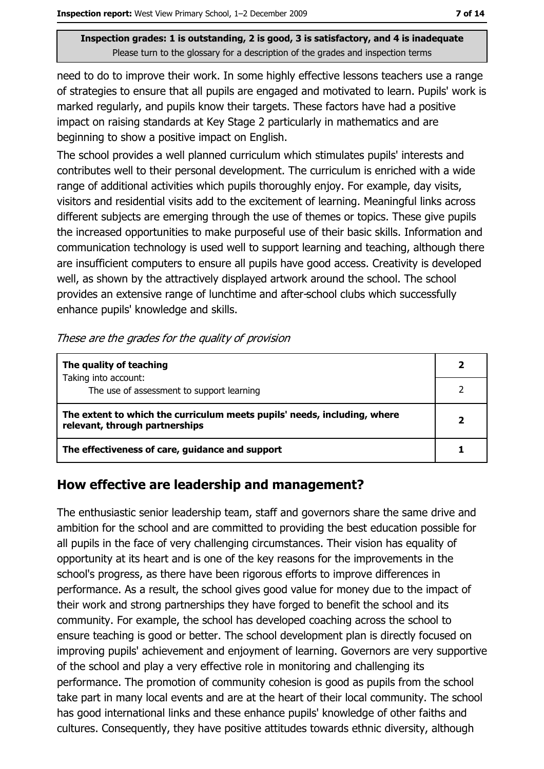need to do to improve their work. In some highly effective lessons teachers use a range of strategies to ensure that all pupils are engaged and motivated to learn. Pupils' work is marked regularly, and pupils know their targets. These factors have had a positive impact on raising standards at Key Stage 2 particularly in mathematics and are beginning to show a positive impact on English.

The school provides a well planned curriculum which stimulates pupils' interests and contributes well to their personal development. The curriculum is enriched with a wide range of additional activities which pupils thoroughly enjoy. For example, day visits, visitors and residential visits add to the excitement of learning. Meaningful links across different subjects are emerging through the use of themes or topics. These give pupils the increased opportunities to make purposeful use of their basic skills. Information and communication technology is used well to support learning and teaching, although there are insufficient computers to ensure all pupils have good access. Creativity is developed well, as shown by the attractively displayed artwork around the school. The school provides an extensive range of lunchtime and after-school clubs which successfully enhance pupils' knowledge and skills.

#### These are the grades for the quality of provision

| The quality of teaching                                                                                    |  |
|------------------------------------------------------------------------------------------------------------|--|
| Taking into account:<br>The use of assessment to support learning                                          |  |
| The extent to which the curriculum meets pupils' needs, including, where<br>relevant, through partnerships |  |
| The effectiveness of care, guidance and support                                                            |  |

## How effective are leadership and management?

The enthusiastic senior leadership team, staff and governors share the same drive and ambition for the school and are committed to providing the best education possible for all pupils in the face of very challenging circumstances. Their vision has equality of opportunity at its heart and is one of the key reasons for the improvements in the school's progress, as there have been rigorous efforts to improve differences in performance. As a result, the school gives good value for money due to the impact of their work and strong partnerships they have forged to benefit the school and its community. For example, the school has developed coaching across the school to ensure teaching is good or better. The school development plan is directly focused on improving pupils' achievement and enjoyment of learning. Governors are very supportive of the school and play a very effective role in monitoring and challenging its performance. The promotion of community cohesion is good as pupils from the school take part in many local events and are at the heart of their local community. The school has good international links and these enhance pupils' knowledge of other faiths and cultures. Consequently, they have positive attitudes towards ethnic diversity, although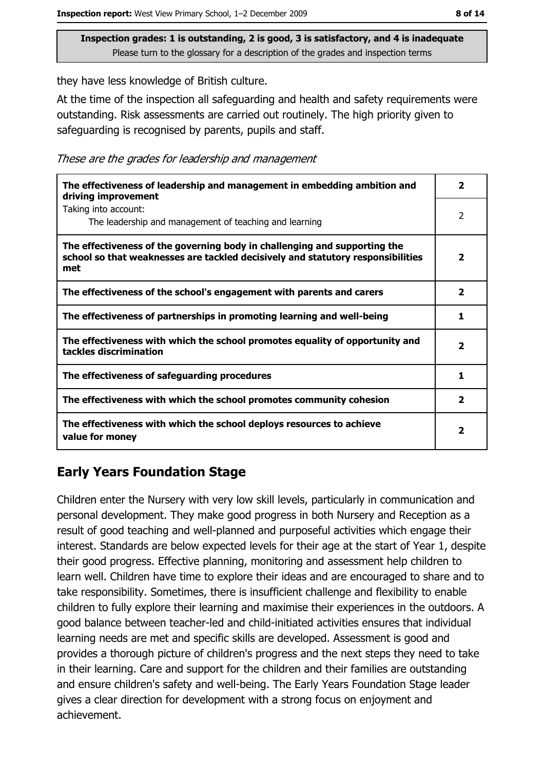they have less knowledge of British culture.

At the time of the inspection all safeguarding and health and safety requirements were outstanding. Risk assessments are carried out routinely. The high priority given to safeguarding is recognised by parents, pupils and staff.

These are the grades for leadership and management

| The effectiveness of leadership and management in embedding ambition and<br>driving improvement                                                                     | $\overline{\mathbf{2}}$ |
|---------------------------------------------------------------------------------------------------------------------------------------------------------------------|-------------------------|
| Taking into account:<br>The leadership and management of teaching and learning                                                                                      | 2                       |
| The effectiveness of the governing body in challenging and supporting the<br>school so that weaknesses are tackled decisively and statutory responsibilities<br>met | $\overline{\mathbf{2}}$ |
| The effectiveness of the school's engagement with parents and carers                                                                                                | $\mathbf{2}$            |
| The effectiveness of partnerships in promoting learning and well-being                                                                                              | 1                       |
| The effectiveness with which the school promotes equality of opportunity and<br>tackles discrimination                                                              | $\overline{\mathbf{2}}$ |
| The effectiveness of safeguarding procedures                                                                                                                        | 1                       |
| The effectiveness with which the school promotes community cohesion                                                                                                 | $\mathbf{2}$            |
| The effectiveness with which the school deploys resources to achieve<br>value for money                                                                             | 2                       |

# **Early Years Foundation Stage**

Children enter the Nursery with very low skill levels, particularly in communication and personal development. They make good progress in both Nursery and Reception as a result of good teaching and well-planned and purposeful activities which engage their interest. Standards are below expected levels for their age at the start of Year 1, despite their good progress. Effective planning, monitoring and assessment help children to learn well. Children have time to explore their ideas and are encouraged to share and to take responsibility. Sometimes, there is insufficient challenge and flexibility to enable children to fully explore their learning and maximise their experiences in the outdoors. A good balance between teacher-led and child-initiated activities ensures that individual learning needs are met and specific skills are developed. Assessment is good and provides a thorough picture of children's progress and the next steps they need to take in their learning. Care and support for the children and their families are outstanding and ensure children's safety and well-being. The Early Years Foundation Stage leader gives a clear direction for development with a strong focus on enjoyment and achievement.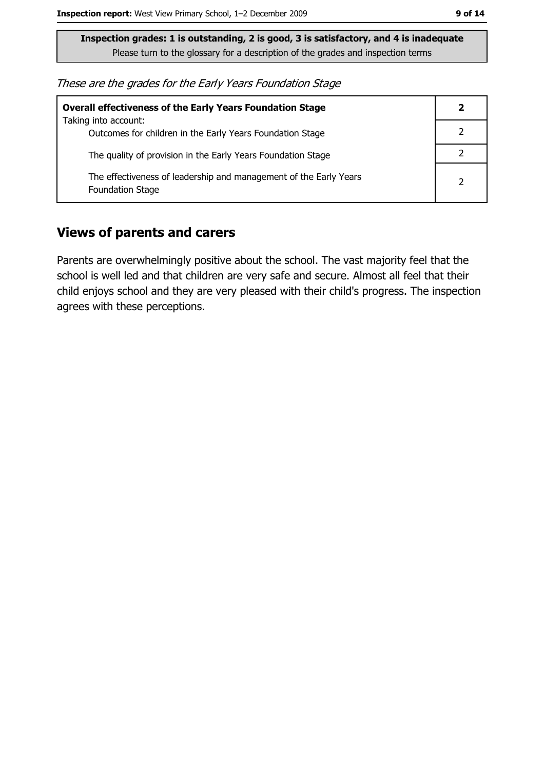These are the grades for the Early Years Foundation Stage

| <b>Overall effectiveness of the Early Years Foundation Stage</b>                             | 2              |
|----------------------------------------------------------------------------------------------|----------------|
| Taking into account:<br>Outcomes for children in the Early Years Foundation Stage            |                |
| The quality of provision in the Early Years Foundation Stage                                 |                |
| The effectiveness of leadership and management of the Early Years<br><b>Foundation Stage</b> | $\overline{2}$ |

#### **Views of parents and carers**

Parents are overwhelmingly positive about the school. The vast majority feel that the school is well led and that children are very safe and secure. Almost all feel that their child enjoys school and they are very pleased with their child's progress. The inspection agrees with these perceptions.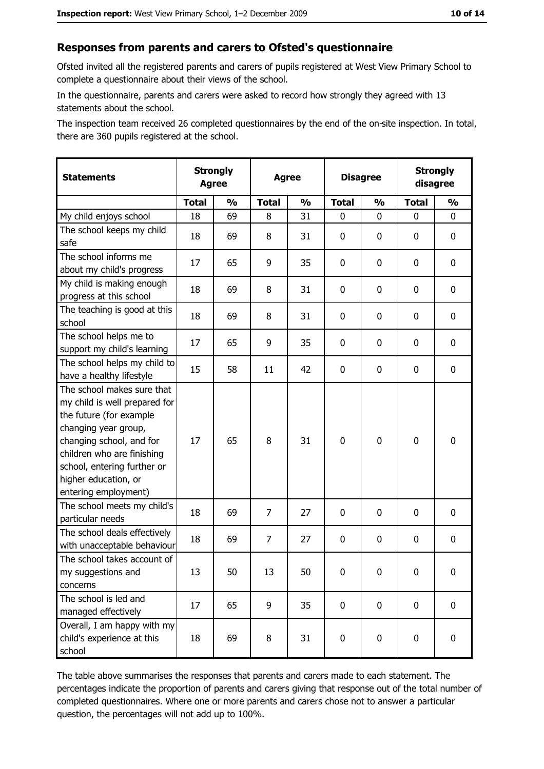#### Responses from parents and carers to Ofsted's questionnaire

Ofsted invited all the registered parents and carers of pupils registered at West View Primary School to complete a questionnaire about their views of the school.

In the questionnaire, parents and carers were asked to record how strongly they agreed with 13 statements about the school.

The inspection team received 26 completed questionnaires by the end of the on-site inspection. In total, there are 360 pupils registered at the school.

| <b>Statements</b>                                                                                                                                                                                                                                       | <b>Strongly</b><br><b>Agree</b> |               | <b>Agree</b>   |               | <b>Disagree</b> |               | <b>Strongly</b><br>disagree |               |
|---------------------------------------------------------------------------------------------------------------------------------------------------------------------------------------------------------------------------------------------------------|---------------------------------|---------------|----------------|---------------|-----------------|---------------|-----------------------------|---------------|
|                                                                                                                                                                                                                                                         | <b>Total</b>                    | $\frac{0}{0}$ | <b>Total</b>   | $\frac{0}{0}$ | <b>Total</b>    | $\frac{0}{0}$ | <b>Total</b>                | $\frac{0}{0}$ |
| My child enjoys school                                                                                                                                                                                                                                  | 18                              | 69            | 8              | 31            | $\mathbf 0$     | $\mathbf{0}$  | $\mathbf{0}$                | 0             |
| The school keeps my child<br>safe                                                                                                                                                                                                                       | 18                              | 69            | 8              | 31            | $\mathbf 0$     | 0             | 0                           | $\mathbf 0$   |
| The school informs me<br>about my child's progress                                                                                                                                                                                                      | 17                              | 65            | 9              | 35            | 0               | 0             | 0                           | 0             |
| My child is making enough<br>progress at this school                                                                                                                                                                                                    | 18                              | 69            | 8              | 31            | $\mathbf 0$     | 0             | 0                           | 0             |
| The teaching is good at this<br>school                                                                                                                                                                                                                  | 18                              | 69            | 8              | 31            | $\mathbf 0$     | 0             | 0                           | 0             |
| The school helps me to<br>support my child's learning                                                                                                                                                                                                   | 17                              | 65            | 9              | 35            | $\mathbf 0$     | 0             | 0                           | $\mathbf 0$   |
| The school helps my child to<br>have a healthy lifestyle                                                                                                                                                                                                | 15                              | 58            | 11             | 42            | $\mathbf 0$     | 0             | 0                           | $\mathbf 0$   |
| The school makes sure that<br>my child is well prepared for<br>the future (for example<br>changing year group,<br>changing school, and for<br>children who are finishing<br>school, entering further or<br>higher education, or<br>entering employment) | 17                              | 65            | 8              | 31            | $\mathbf 0$     | 0             | $\mathbf 0$                 | $\mathbf 0$   |
| The school meets my child's<br>particular needs                                                                                                                                                                                                         | 18                              | 69            | $\overline{7}$ | 27            | $\mathbf 0$     | 0             | 0                           | $\mathbf 0$   |
| The school deals effectively<br>with unacceptable behaviour                                                                                                                                                                                             | 18                              | 69            | $\overline{7}$ | 27            | $\mathbf 0$     | 0             | 0                           | $\mathbf 0$   |
| The school takes account of<br>my suggestions and<br>concerns                                                                                                                                                                                           | 13                              | 50            | 13             | 50            | $\mathbf 0$     | 0             | 0                           | $\bf{0}$      |
| The school is led and<br>managed effectively                                                                                                                                                                                                            | 17                              | 65            | 9              | 35            | $\mathbf 0$     | $\mathbf 0$   | $\mathbf 0$                 | 0             |
| Overall, I am happy with my<br>child's experience at this<br>school                                                                                                                                                                                     | 18                              | 69            | 8              | 31            | $\pmb{0}$       | $\pmb{0}$     | $\mathbf 0$                 | 0             |

The table above summarises the responses that parents and carers made to each statement. The percentages indicate the proportion of parents and carers giving that response out of the total number of completed questionnaires. Where one or more parents and carers chose not to answer a particular question, the percentages will not add up to 100%.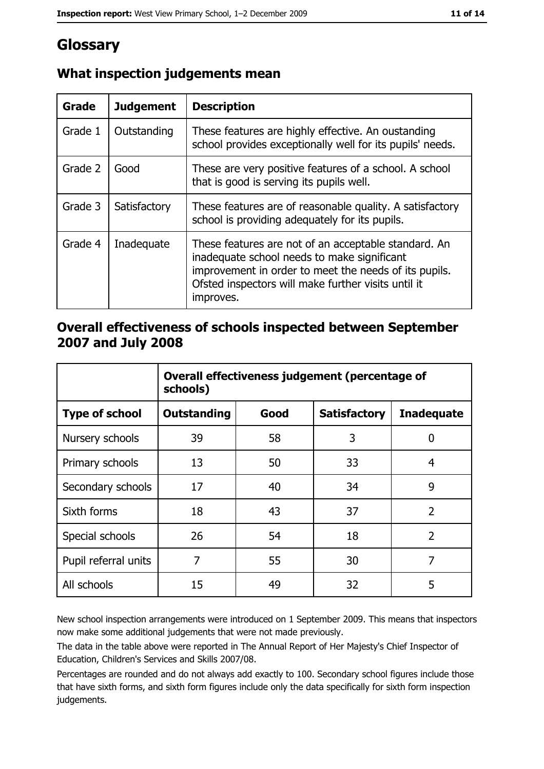# Glossary

| <b>Grade</b> | <b>Judgement</b> | <b>Description</b>                                                                                                                                                                                                               |
|--------------|------------------|----------------------------------------------------------------------------------------------------------------------------------------------------------------------------------------------------------------------------------|
| Grade 1      | Outstanding      | These features are highly effective. An oustanding<br>school provides exceptionally well for its pupils' needs.                                                                                                                  |
| Grade 2      | Good             | These are very positive features of a school. A school<br>that is good is serving its pupils well.                                                                                                                               |
| Grade 3      | Satisfactory     | These features are of reasonable quality. A satisfactory<br>school is providing adequately for its pupils.                                                                                                                       |
| Grade 4      | Inadequate       | These features are not of an acceptable standard. An<br>inadequate school needs to make significant<br>improvement in order to meet the needs of its pupils.<br>Ofsted inspectors will make further visits until it<br>improves. |

# What inspection judgements mean

## Overall effectiveness of schools inspected between September 2007 and July 2008

|                       | Overall effectiveness judgement (percentage of<br>schools) |      |                     |                   |
|-----------------------|------------------------------------------------------------|------|---------------------|-------------------|
| <b>Type of school</b> | <b>Outstanding</b>                                         | Good | <b>Satisfactory</b> | <b>Inadequate</b> |
| Nursery schools       | 39                                                         | 58   | 3                   | 0                 |
| Primary schools       | 13                                                         | 50   | 33                  | 4                 |
| Secondary schools     | 17                                                         | 40   | 34                  | 9                 |
| Sixth forms           | 18                                                         | 43   | 37                  | $\overline{2}$    |
| Special schools       | 26                                                         | 54   | 18                  | $\overline{2}$    |
| Pupil referral units  | 7                                                          | 55   | 30                  | 7                 |
| All schools           | 15                                                         | 49   | 32                  | 5                 |

New school inspection arrangements were introduced on 1 September 2009. This means that inspectors now make some additional judgements that were not made previously.

The data in the table above were reported in The Annual Report of Her Majesty's Chief Inspector of Education, Children's Services and Skills 2007/08.

Percentages are rounded and do not always add exactly to 100. Secondary school figures include those that have sixth forms, and sixth form figures include only the data specifically for sixth form inspection judgements.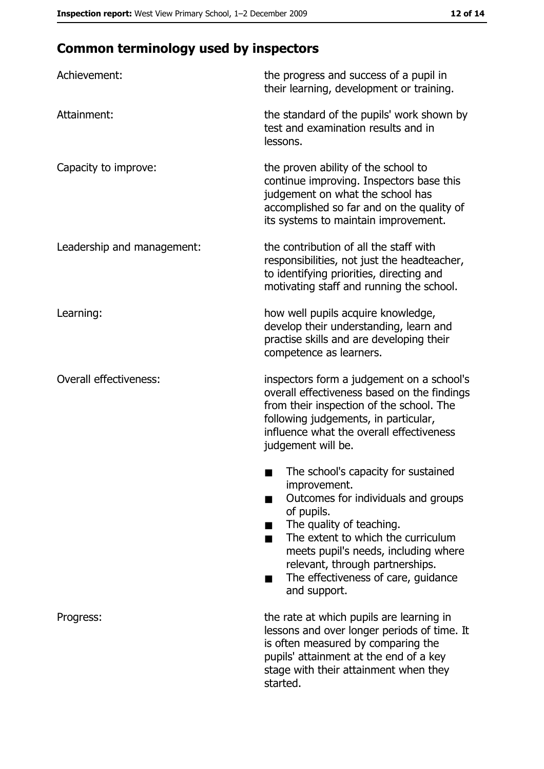# **Common terminology used by inspectors**

| Achievement:                  | the progress and success of a pupil in<br>their learning, development or training.                                                                                                                                                                                                                                |
|-------------------------------|-------------------------------------------------------------------------------------------------------------------------------------------------------------------------------------------------------------------------------------------------------------------------------------------------------------------|
| Attainment:                   | the standard of the pupils' work shown by<br>test and examination results and in<br>lessons.                                                                                                                                                                                                                      |
| Capacity to improve:          | the proven ability of the school to<br>continue improving. Inspectors base this<br>judgement on what the school has<br>accomplished so far and on the quality of<br>its systems to maintain improvement.                                                                                                          |
| Leadership and management:    | the contribution of all the staff with<br>responsibilities, not just the headteacher,<br>to identifying priorities, directing and<br>motivating staff and running the school.                                                                                                                                     |
| Learning:                     | how well pupils acquire knowledge,<br>develop their understanding, learn and<br>practise skills and are developing their<br>competence as learners.                                                                                                                                                               |
| <b>Overall effectiveness:</b> | inspectors form a judgement on a school's<br>overall effectiveness based on the findings<br>from their inspection of the school. The<br>following judgements, in particular,<br>influence what the overall effectiveness<br>judgement will be.                                                                    |
|                               | The school's capacity for sustained<br>improvement.<br>Outcomes for individuals and groups<br>of pupils.<br>The quality of teaching.<br>The extent to which the curriculum<br>meets pupil's needs, including where<br>relevant, through partnerships.<br>The effectiveness of care, guidance<br>٠<br>and support. |
| Progress:                     | the rate at which pupils are learning in<br>lessons and over longer periods of time. It<br>is often measured by comparing the<br>pupils' attainment at the end of a key<br>stage with their attainment when they<br>started.                                                                                      |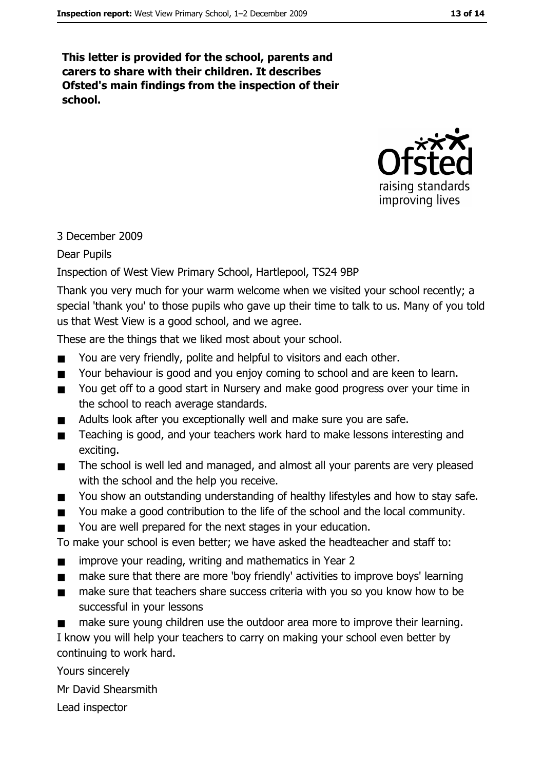This letter is provided for the school, parents and carers to share with their children. It describes Ofsted's main findings from the inspection of their school.



#### 3 December 2009

**Dear Pupils** 

Inspection of West View Primary School, Hartlepool, TS24 9BP

Thank you very much for your warm welcome when we visited your school recently; a special 'thank you' to those pupils who gave up their time to talk to us. Many of you told us that West View is a good school, and we agree.

These are the things that we liked most about your school.

- You are very friendly, polite and helpful to visitors and each other.  $\blacksquare$
- $\blacksquare$ Your behaviour is good and you enjoy coming to school and are keen to learn.
- You get off to a good start in Nursery and make good progress over your time in  $\blacksquare$ the school to reach average standards.
- Adults look after you exceptionally well and make sure you are safe.  $\blacksquare$
- Teaching is good, and your teachers work hard to make lessons interesting and  $\blacksquare$ exciting.
- The school is well led and managed, and almost all your parents are very pleased  $\blacksquare$ with the school and the help you receive.
- You show an outstanding understanding of healthy lifestyles and how to stay safe.  $\blacksquare$
- You make a good contribution to the life of the school and the local community.  $\blacksquare$
- You are well prepared for the next stages in your education.  $\blacksquare$

To make your school is even better; we have asked the headteacher and staff to:

- improve your reading, writing and mathematics in Year 2  $\blacksquare$
- make sure that there are more 'boy friendly' activities to improve boys' learning  $\blacksquare$
- make sure that teachers share success criteria with you so you know how to be  $\blacksquare$ successful in your lessons
- make sure young children use the outdoor area more to improve their learning.  $\blacksquare$

I know you will help your teachers to carry on making your school even better by continuing to work hard.

Yours sincerely

Mr David Shearsmith

Lead inspector